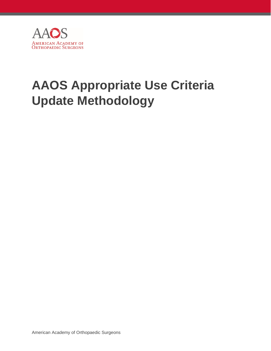

# **AAOS Appropriate Use Criteria Update Methodology**

American Academy of Orthopaedic Surgeons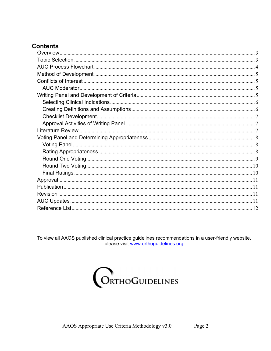# **Contents**

To view all AAOS published clinical practice guidelines recommendations in a user-friendly website, please visit www.orthoguidelines.org

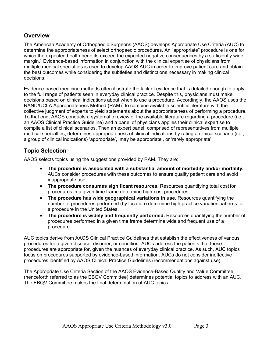# <span id="page-2-0"></span>**Overview**

The American Academy of Orthopaedic Surgeons (AAOS) develops Appropriate Use Criteria (AUC) to determine the appropriateness of select orthopaedic procedures. An "appropriate" procedure is one for which the expected health benefits exceed the expected negative consequences by a sufficiently wide margin.<sup>1</sup> Evidence-based information in conjunction with the clinical expertise of physicians from multiple medical specialties is used to develop AAOS AUC in order to improve patient care and obtain the best outcomes while considering the subtleties and distinctions necessary in making clinical decisions.

Evidence-based medicine methods often illustrate the lack of evidence that is detailed enough to apply to the full range of patients seen in everyday clinical practice. Despite this, physicians must make decisions based on clinical indications about when to use a procedure. Accordingly, the AAOS uses the RAND/UCLA Appropriateness Method (RAM)<sup>1</sup> to combine available scientific literature with the collective judgment of experts to yield statements about the appropriateness of performing a procedure. To that end, AAOS conducts a systematic review of the available literature regarding a procedure (i.e., an AAOS Clinical Practice Guideline) and a panel of physicians applies their clinical expertise to compile a list of clinical scenarios. Then an expert panel, comprised of representatives from multiple medical specialties, determines appropriateness of clinical indications by rating a clinical scenario (i.e., a group of clinical indications) 'appropriate', 'may be appropriate', or 'rarely appropriate'.

# **Topic Selection**

AAOS selects topics using the suggestions provided by RAM. They are:

- **The procedure is associated with a substantial amount of morbidity and/or mortality.**  AUCs consider procedures with these outcomes to ensure quality patient care and avoid inappropriate use.
- **The procedure consumes significant resources.** Resources quantifying total cost for procedures in a given time frame determine high-cost procedures.
- **The procedure has wide geographical variations in use.** Resources quantifying the number of procedures performed (by location) determine high practice variation patterns for a procedure in the United States.
- The procedure is widely and frequently performed. Resources quantifying the number of procedures performed in a given time frame determine wide and frequent use of a procedure.

AUC topics derive from AAOS Clinical Practice Guidelines that establish the effectiveness of various procedures for a given disease, disorder, or condition. AUCs address the patients that these procedures are appropriate for, given the nuances of everyday clinical practice. As such, AUC topics focus on procedures supported by evidence-based information. AUCs do not consider ineffective procedures identified by AAOS Clinical Practice Guidelines (recommendations against use).

The Appropriate Use Criteria Section of the AAOS Evidence-Based Quality and Value Committee (henceforth referred to as the EBQV Committee) determines potential topics to address with an AUC. The EBQV Committee makes the final determination of AUC topics.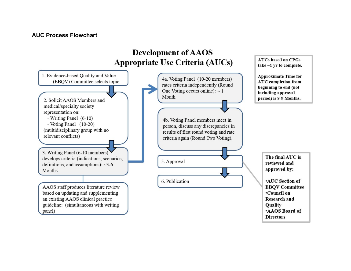#### <span id="page-3-0"></span>**AUC Process Flowchart**



**AUCs based on CPGs** 

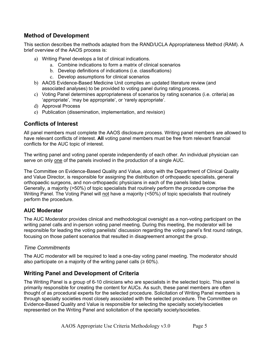# <span id="page-4-0"></span>**Method of Development**

This section describes the methods adapted from the RAND/UCLA Appropriateness Method (RAM). A brief overview of the AAOS process is:

- a) Writing Panel develops a list of clinical indications.
	- a. Combine indications to form a matrix of clinical scenarios
	- b. Develop definitions of indications (i.e. classifications)
	- c. Develop assumptions for clinical scenarios
- b) AAOS Evidence-Based Medicine Unit compiles an updated literature review (and associated analyses) to be provided to voting panel during rating process.
- c) Voting Panel determines appropriateness of scenarios by rating scenarios (i.e. criteria) as 'appropriate', 'may be appropriate', or 'rarely appropriate'.
- d) Approval Process
- e) Publication (dissemination, implementation, and revision)

## **Conflicts of Interest**

All panel members must complete the AAOS disclosure process. Writing panel members are allowed to have relevant conflicts of interest. **All** voting panel members must be free from relevant financial conflicts for the AUC topic of interest.

The writing panel and voting panel operate independently of each other. An individual physician can serve on only one of the panels involved in the production of a single AUC.

The Committee on Evidence-Based Quality and Value, along with the Department of Clinical Quality and Value Director, is responsible for assigning the distribution of orthopaedic specialists, general orthopaedic surgeons, and non-orthopaedic physicians in each of the panels listed below. Generally, a majority (>50%) of topic specialists that routinely perform the procedure comprise the Writing Panel. The Voting Panel will not have a majority (<50%) of topic specialists that routinely perform the procedure.

#### **AUC Moderator**

The AUC Moderator provides clinical and methodological oversight as a non-voting participant on the writing panel calls and in-person voting panel meeting. During this meeting, the moderator will be responsible for leading the voting panelists' discussion regarding the voting panel's first round ratings, focusing on those patient scenarios that resulted in disagreement amongst the group.

#### *Time Commitments*

The AUC moderator will be required to lead a one-day voting panel meeting. The moderator should also participate on a majority of the writing panel calls ( $\geq 60\%$ ).

## **Writing Panel and Development of Criteria**

The Writing Panel is a group of 6-10 clinicians who are specialists in the selected topic. This panel is primarily responsible for creating the content for AUCs. As such, these panel members are often thought of as procedural experts for the selected procedure. Solicitation of Writing Panel members is through specialty societies most closely associated with the selected procedure. The Committee on Evidence-Based Quality and Value is responsible for selecting the specialty society/societies represented on the Writing Panel and solicitation of the specialty society/societies.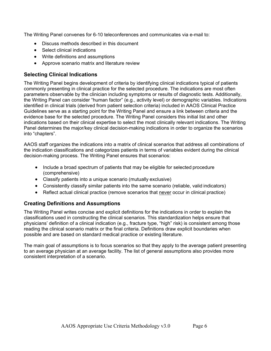<span id="page-5-0"></span>The Writing Panel convenes for 6-10 teleconferences and communicates via e-mail to:

- Discuss methods described in this document
- Select clinical indications
- Write definitions and assumptions
- Approve scenario matrix and literature review

#### **Selecting Clinical Indications**

The Writing Panel begins development of criteria by identifying clinical indications typical of patients commonly presenting in clinical practice for the selected procedure. The indications are most often parameters observable by the clinician including symptoms or results of diagnostic tests. Additionally, the Writing Panel can consider "human factor" (e.g., activity level) or demographic variables. Indications identified in clinical trials (derived from patient selection criteria) included in AAOS Clinical Practice Guidelines serve as a starting point for the Writing Panel and ensure a link between criteria and the evidence base for the selected procedure. The Writing Panel considers this initial list and other indications based on their clinical expertise to select the most clinically relevant indications. The Writing Panel determines the major/key clinical decision-making indications in order to organize the scenarios into "chapters".

AAOS staff organizes the indications into a matrix of clinical scenarios that address all combinations of the indication classifications and categorizes patients in terms of variables evident during the clinical decision-making process. The Writing Panel ensures that scenarios:

- Include a broad spectrum of patients that may be eligible for selected procedure (comprehensive)
- Classify patients into a unique scenario (mutually exclusive)
- Consistently classify similar patients into the same scenario (reliable, valid indicators)
- Reflect actual clinical practice (remove scenarios that never occur in clinical practice)

#### **Creating Definitions and Assumptions**

The Writing Panel writes concise and explicit definitions for the indications in order to explain the classifications used in constructing the clinical scenarios. This standardization helps ensure that physicians' definition of a clinical indication (e.g., fracture type, "high" risk) is consistent among those reading the clinical scenario matrix or the final criteria. Definitions draw explicit boundaries when possible and are based on standard medical practice or existing literature.

The main goal of assumptions is to focus scenarios so that they apply to the average patient presenting to an average physician at an average facility. The list of general assumptions also provides more consistent interpretation of a scenario.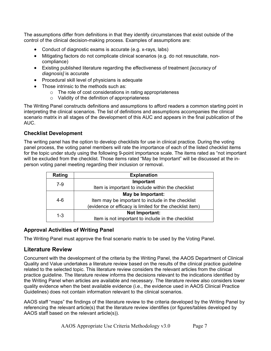<span id="page-6-0"></span>The assumptions differ from definitions in that they identify circumstances that exist outside of the control of the clinical decision-making process. Examples of assumptions are:

- Conduct of diagnostic exams is accurate (e.g. x-rays, labs)
- Mitigating factors do not complicate clinical scenarios (e.g. do not resuscitate, noncompliance)
- Existing published literature regarding the effectiveness of treatment *[accuracy of diagnosis]* is accurate
- Procedural skill level of physicians is adequate
- Those intrinsic to the methods such as:
	- o The role of cost considerations in rating appropriateness
	- o Validity of the definition of appropriateness

The Writing Panel constructs definitions and assumptions to afford readers a common starting point in interpreting the clinical scenarios. The list of definitions and assumptions accompanies the clinical scenario matrix in all stages of the development of this AUC and appears in the final publication of the AUC.

#### **Checklist Development**

The writing panel has the option to develop checklists for use in clinical practice. During the voting panel process, the voting panel members will rate the importance of each of the listed checklist items for the topic under study using the following 9-point importance scale. The items rated as "not important will be excluded from the checklist. Those items rated "May be Important" will be discussed at the inperson voting panel meeting regarding their inclusion or removal.

| Rating | <b>Explanation</b>                                       |  |  |
|--------|----------------------------------------------------------|--|--|
| $7-9$  | Important                                                |  |  |
|        | Item is important to include within the checklist        |  |  |
|        | May be Important:                                        |  |  |
| $4-6$  | Item may be important to include in the checklist        |  |  |
|        | (evidence or efficacy is limited for the checklist item) |  |  |
| 1-3    | Not Important:                                           |  |  |
|        | Item is not important to include in the checklist        |  |  |

#### **Approval Activities of Writing Panel**

The Writing Panel must approve the final scenario matrix to be used by the Voting Panel.

## **Literature Review**

Concurrent with the development of the criteria by the Writing Panel, the AAOS Department of Clinical Quality and Value undertakes a literature review based on the results of the clinical practice guideline related to the selected topic. This literature review considers the relevant articles from the clinical practice guideline. The literature review informs the decisions relevant to the indications identified by the Writing Panel when articles are available and necessary. The literature review also considers lower quality evidence when the best available evidence (i.e., the evidence used in AAOS Clinical Practice Guidelines) does not contain information relevant to the clinical scenarios.

AAOS staff "maps" the findings of the literature review to the criteria developed by the Writing Panel by referencing the relevant article(s) that the literature review identifies (or figures/tables developed by AAOS staff based on the relevant article(s)).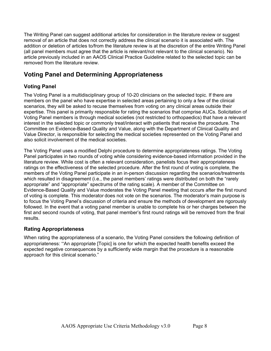<span id="page-7-0"></span>The Writing Panel can suggest additional articles for consideration in the literature review or suggest removal of an article that does not correctly address the clinical scenario it is associated with. The addition or deletion of articles to/from the literature review is at the discretion of the entire Writing Panel (all panel members must agree that the article is relevant/not relevant to the clinical scenario). No article previously included in an AAOS Clinical Practice Guideline related to the selected topic can be removed from the literature review.

# **Voting Panel and Determining Appropriateness**

## **Voting Panel**

The Voting Panel is a multidisciplinary group of 10-20 clinicians on the selected topic. If there are members on the panel who have expertise in selected areas pertaining to only a few of the clinical scenarios, they will be asked to recuse themselves from voting on any clinical areas outside their expertise. This panel is primarily responsible for rating the scenarios that comprise AUCs. Solicitation of Voting Panel members is through medical societies (not restricted to orthopaedics) that have a relevant interest in the selected topic or commonly treat/interact with patients that receive the procedure. The Committee on Evidence-Based Quality and Value, along with the Department of Clinical Quality and Value Director, is responsible for selecting the medical societies represented on the Voting Panel and also solicit involvement of the medical societies.

The Voting Panel uses a modified Delphi procedure to determine appropriateness ratings. The Voting Panel participates in two rounds of voting while considering evidence-based information provided in the literature review. While cost is often a relevant consideration, panelists focus their appropriateness ratings on the effectiveness of the selected procedure. After the first round of voting is complete, the members of the Voting Panel participate in an in-person discussion regarding the scenarios/treatments which resulted in disagreement (i.e., the panel members' ratings were distributed on both the "rarely" appropriate" and "appropriate" spectrums of the rating scale). A member of the Committee on Evidence-Based Quality and Value moderates the Voting Panel meeting that occurs after the first round of voting is complete. This moderator does not vote on the scenarios. The moderator's main purpose is to focus the Voting Panel's discussion of criteria and ensure the methods of development are rigorously followed. In the event that a voting panel member is unable to complete his or her charges between the first and second rounds of voting, that panel member's first round ratings will be removed from the final results.

#### **Rating Appropriateness**

When rating the appropriateness of a scenario, the Voting Panel considers the following definition of appropriateness: "An appropriate [Topic] is one for which the expected health benefits exceed the expected negative consequences by a sufficiently wide margin that the procedure is a reasonable approach for this clinical scenario."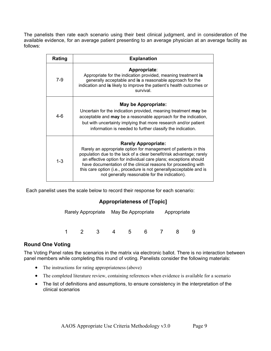<span id="page-8-0"></span>The panelists then rate each scenario using their best clinical judgment, and in consideration of the available evidence, for an average patient presenting to an average physician at an average facility as follows:

| Rating  | <b>Explanation</b>                                                                                                                                                                                                                                                                                                                                                                                                                  |  |  |  |
|---------|-------------------------------------------------------------------------------------------------------------------------------------------------------------------------------------------------------------------------------------------------------------------------------------------------------------------------------------------------------------------------------------------------------------------------------------|--|--|--|
| $7-9$   | Appropriate:<br>Appropriate for the indication provided, meaning treatment is<br>generally acceptable and is a reasonable approach for the<br>indication and is likely to improve the patient's health outcomes or<br>survival.                                                                                                                                                                                                     |  |  |  |
| 4-6     | May be Appropriate:<br>Uncertain for the indication provided, meaning treatment may be<br>acceptable and may be a reasonable approach for the indication,<br>but with uncertainty implying that more research and/or patient<br>information is needed to further classify the indication.                                                                                                                                           |  |  |  |
| $1 - 3$ | <b>Rarely Appropriate:</b><br>Rarely an appropriate option for management of patients in this<br>population due to the lack of a clear benefit/risk advantage; rarely<br>an effective option for individual care plans; exceptions should<br>have documentation of the clinical reasons for proceeding with<br>this care option (i.e., procedure is not generallyacceptable and is<br>not generally reasonable for the indication). |  |  |  |

Each panelist uses the scale below to record their response for each scenario:

#### **Appropriateness of [Topic]**

|  |  |     | Rarely Appropriate May Be Appropriate |       |   | Appropriate |  |  |
|--|--|-----|---------------------------------------|-------|---|-------------|--|--|
|  |  | -3. |                                       | $5 -$ | 6 |             |  |  |

#### **Round One Voting**

The Voting Panel rates the scenarios in the matrix via electronic ballot. There is no interaction between panel members while completing this round of voting. Panelists consider the following materials:

- The instructions for rating appropriateness (above)
- The completed literature review, containing references when evidence is available for a scenario
- The list of definitions and assumptions, to ensure consistency in the interpretation of the clinical scenarios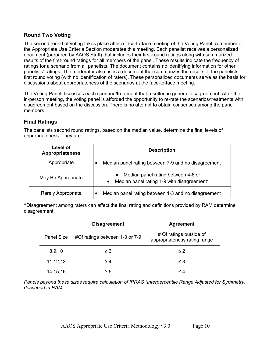#### <span id="page-9-0"></span>**Round Two Voting**

The second round of voting takes place after a face-to-face meeting of the Voting Panel. A member of the Appropriate Use Criteria Section moderates this meeting. Each panelist receives a personalized document (prepared by AAOS Staff) that includes their first-round ratings along with summarized results of the first-round ratings for all members of the panel. These results indicate the frequency of ratings for a scenario from all panelists. The document contains no identifying information for other panelists' ratings. The moderator also uses a document that summarizes the results of the panelists' first round voting (with no identification of raters). These personalized documents serve as the basis for discussions about appropriateness of the scenarios at the face-to-face meeting.

The Voting Panel discusses each scenario/treatment that resulted in general disagreement. After the in-person meeting, the voting panel is afforded the opportunity to re-rate the scenarios/treatments with disagreement based on the discussion. There is no attempt to obtain consensus among the panel members.

#### **Final Ratings**

The panelists second round ratings, based on the median value, determine the final levels of appropriateness. They are:

| Level of<br><b>Appropriateness</b> | <b>Description</b>                                                                            |  |
|------------------------------------|-----------------------------------------------------------------------------------------------|--|
| Appropriate                        | Median panel rating between 7-9 and no disagreement                                           |  |
| May Be Appropriate                 | Median panel rating between 4-6 or<br>Median panel rating 1-9 with disagreement*<br>$\bullet$ |  |
| <b>Rarely Appropriate</b>          | Median panel rating between 1-3 and no disagreement                                           |  |

\*Disagreement among raters can affect the final rating and definitions provided by RAM determine disagreement:

|                   |            | <b>Disagreement</b>            | <b>Agreement</b>                                        |  |  |
|-------------------|------------|--------------------------------|---------------------------------------------------------|--|--|
| <b>Panel Size</b> |            | #Of ratings between 1-3 or 7-9 | # Of ratings outside of<br>appropriateness rating range |  |  |
|                   | 8,9,10     | $\geq 3$                       | $\leq$ 2                                                |  |  |
|                   | 11, 12, 13 | $\geq 4$                       | $\leq 3$                                                |  |  |
|                   | 14, 15, 16 | $\geq 5$                       | $\leq 4$                                                |  |  |

*Panels beyond these sizes require calculation of IPRAS (Interpercentile Range Adjusted for Symmetry) described in RAM.*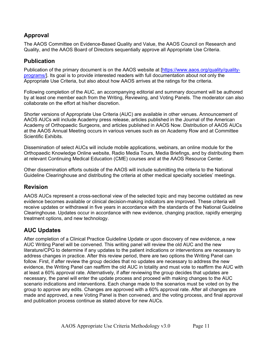# <span id="page-10-0"></span>**Approval**

The AAOS Committee on Evidence-Based Quality and Value, the AAOS Council on Research and Quality, and the AAOS Board of Directors sequentially approve all Appropriate Use Criteria.

## **Publication**

Publication of the primary document is on the AAOS website at [https://www.aaos.org/quality/qualityprograms/]. Its goal is to provide interested readers with full documentation about not only the Appropriate Use Criteria, but also about how AAOS arrives at the ratings for the criteria.

Following completion of the AUC, an accompanying editorial and summary document will be authored by at least one member each from the Writing, Reviewing, and Voting Panels. The moderator can also collaborate on the effort at his/her discretion.

Shorter versions of Appropriate Use Criteria (AUC) are available in other venues. Announcement of AAOS AUCs will include Academy press release, articles published in the Journal of the American Academy of Orthopaedic Surgeons, and articles published in AAOS Now. Distribution of AAOS AUCs at the AAOS Annual Meeting occurs in various venues such as on Academy Row and at Committee Scientific Exhibits.

Dissemination of select AUCs will include mobile applications, webinars, an online module for the Orthopaedic Knowledge Online website, Radio Media Tours, Media Briefings, and by distributing them at relevant Continuing Medical Education (CME) courses and at the AAOS Resource Center.

Other dissemination efforts outside of the AAOS will include submitting the criteria to the National Guideline Clearinghouse and distributing the criteria at other medical specialty societies' meetings.

## **Revision**

AAOS AUCs represent a cross-sectional view of the selected topic and may become outdated as new evidence becomes available or clinical decision-making indicators are improved. These criteria will receive updates or withdrawal in five years in accordance with the standards of the National Guideline Clearinghouse. Updates occur in accordance with new evidence, changing practice, rapidly emerging treatment options, and new technology.

# **AUC Updates**

After completion of a Clinical Practice Guideline Update or upon discovery of new evidence, a new AUC Writing Panel will be convened. This writing panel will review the old AUC and the new literature/CPG to determine if any updates to the patient indications or interventions are necessary to address changes in practice. After this review period, there are two options the Writing Panel can follow. First, if after review the group decides that no updates are necessary to address the new evidence, the Writing Panel can reaffirm the old AUC in totality and must vote to reaffirm the AUC with at least a 60% approval rate. Alternatively, if after reviewing the group decides that updates are necessary, the panel will enter the update process and proceed with making changes to the AUC scenario indications and interventions. Each change made to the scenarios must be voted on by the group to approve any edits. Changes are approved with a 60% approval rate. After all changes are made and approved, a new Voting Panel is then convened, and the voting process, and final approval and publication process continue as stated above for new AUCs.